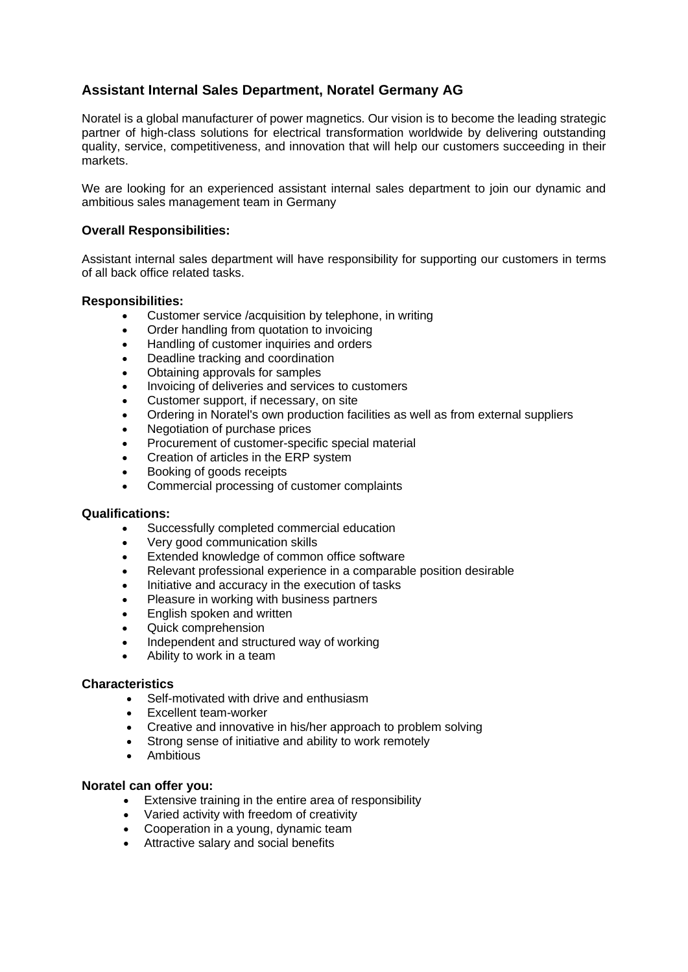# **Assistant Internal Sales Department, Noratel Germany AG**

Noratel is a global manufacturer of power magnetics. Our vision is to become the leading strategic partner of high-class solutions for electrical transformation worldwide by delivering outstanding quality, service, competitiveness, and innovation that will help our customers succeeding in their markets.

We are looking for an experienced assistant internal sales department to join our dynamic and ambitious sales management team in Germany

### **Overall Responsibilities:**

Assistant internal sales department will have responsibility for supporting our customers in terms of all back office related tasks.

### **Responsibilities:**

- Customer service /acquisition by telephone, in writing
- Order handling from quotation to invoicing
- Handling of customer inquiries and orders
- Deadline tracking and coordination
- Obtaining approvals for samples
- Invoicing of deliveries and services to customers
- Customer support, if necessary, on site
- Ordering in Noratel's own production facilities as well as from external suppliers
- Negotiation of purchase prices
- Procurement of customer-specific special material
- Creation of articles in the ERP system
- Booking of goods receipts
- Commercial processing of customer complaints

#### **Qualifications:**

- Successfully completed commercial education
- Very good communication skills
- Extended knowledge of common office software
- Relevant professional experience in a comparable position desirable
- Initiative and accuracy in the execution of tasks
- Pleasure in working with business partners
- English spoken and written
- Quick comprehension
- Independent and structured way of working
- Ability to work in a team

#### **Characteristics**

- Self-motivated with drive and enthusiasm
- Excellent team-worker
- Creative and innovative in his/her approach to problem solving
- Strong sense of initiative and ability to work remotely
- **Ambitious**

#### **Noratel can offer you:**

- Extensive training in the entire area of responsibility
- Varied activity with freedom of creativity
- Cooperation in a young, dynamic team
- Attractive salary and social benefits